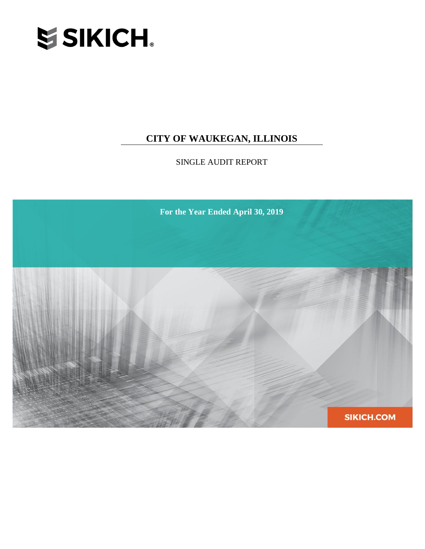

SINGLE AUDIT REPORT

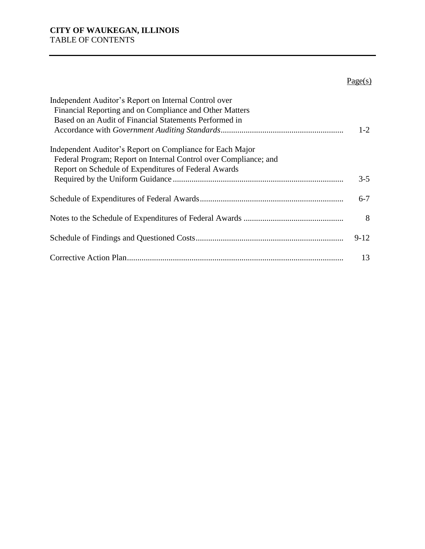# $Page(s)$

| Independent Auditor's Report on Internal Control over            |         |
|------------------------------------------------------------------|---------|
| Financial Reporting and on Compliance and Other Matters          |         |
| Based on an Audit of Financial Statements Performed in           |         |
|                                                                  | $1 - 2$ |
| Independent Auditor's Report on Compliance for Each Major        |         |
| Federal Program; Report on Internal Control over Compliance; and |         |
| Report on Schedule of Expenditures of Federal Awards             |         |
|                                                                  | $3 - 5$ |
|                                                                  | $6 - 7$ |
|                                                                  | 8       |
|                                                                  | $9-12$  |
|                                                                  | 13      |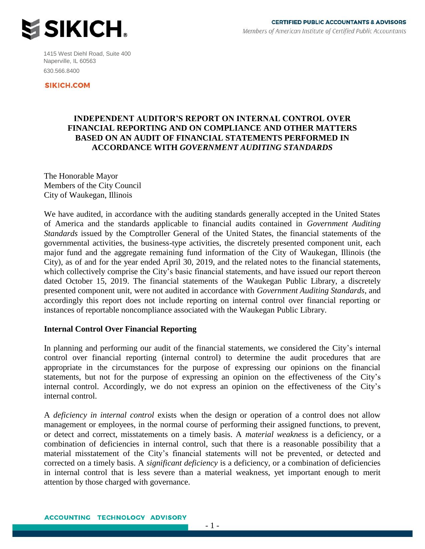

1415 West Diehl Road, Suite 400 Naperville, IL 60563 630.566.8400

**SIKICH.COM** 

### **INDEPENDENT AUDITOR'S REPORT ON INTERNAL CONTROL OVER FINANCIAL REPORTING AND ON COMPLIANCE AND OTHER MATTERS BASED ON AN AUDIT OF FINANCIAL STATEMENTS PERFORMED IN ACCORDANCE WITH** *GOVERNMENT AUDITING STANDARDS*

The Honorable Mayor Members of the City Council City of Waukegan, Illinois

We have audited, in accordance with the auditing standards generally accepted in the United States of America and the standards applicable to financial audits contained in *Government Auditing Standards* issued by the Comptroller General of the United States, the financial statements of the governmental activities, the business-type activities, the discretely presented component unit, each major fund and the aggregate remaining fund information of the City of Waukegan, Illinois (the City), as of and for the year ended April 30, 2019, and the related notes to the financial statements, which collectively comprise the City's basic financial statements, and have issued our report thereon dated October 15, 2019. The financial statements of the Waukegan Public Library, a discretely presented component unit, were not audited in accordance with *Government Auditing Standards,* and accordingly this report does not include reporting on internal control over financial reporting or instances of reportable noncompliance associated with the Waukegan Public Library.

#### **Internal Control Over Financial Reporting**

In planning and performing our audit of the financial statements, we considered the City's internal control over financial reporting (internal control) to determine the audit procedures that are appropriate in the circumstances for the purpose of expressing our opinions on the financial statements, but not for the purpose of expressing an opinion on the effectiveness of the City's internal control. Accordingly, we do not express an opinion on the effectiveness of the City's internal control.

A *deficiency in internal control* exists when the design or operation of a control does not allow management or employees, in the normal course of performing their assigned functions, to prevent, or detect and correct, misstatements on a timely basis. A *material weakness* is a deficiency, or a combination of deficiencies in internal control, such that there is a reasonable possibility that a material misstatement of the City's financial statements will not be prevented, or detected and corrected on a timely basis. A *significant deficiency* is a deficiency, or a combination of deficiencies in internal control that is less severe than a material weakness, yet important enough to merit attention by those charged with governance.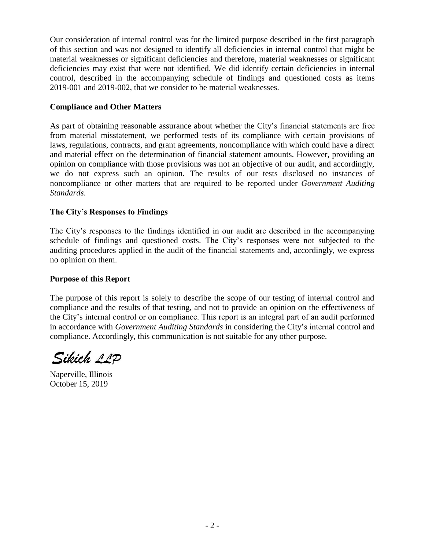Our consideration of internal control was for the limited purpose described in the first paragraph of this section and was not designed to identify all deficiencies in internal control that might be material weaknesses or significant deficiencies and therefore, material weaknesses or significant deficiencies may exist that were not identified. We did identify certain deficiencies in internal control, described in the accompanying schedule of findings and questioned costs as items 2019-001 and 2019-002, that we consider to be material weaknesses.

# **Compliance and Other Matters**

As part of obtaining reasonable assurance about whether the City's financial statements are free from material misstatement, we performed tests of its compliance with certain provisions of laws, regulations, contracts, and grant agreements, noncompliance with which could have a direct and material effect on the determination of financial statement amounts. However, providing an opinion on compliance with those provisions was not an objective of our audit, and accordingly, we do not express such an opinion. The results of our tests disclosed no instances of noncompliance or other matters that are required to be reported under *Government Auditing Standards*.

# **The City's Responses to Findings**

The City's responses to the findings identified in our audit are described in the accompanying schedule of findings and questioned costs. The City's responses were not subjected to the auditing procedures applied in the audit of the financial statements and, accordingly, we express no opinion on them.

# **Purpose of this Report**

The purpose of this report is solely to describe the scope of our testing of internal control and compliance and the results of that testing, and not to provide an opinion on the effectiveness of the City's internal control or on compliance. This report is an integral part of an audit performed in accordance with *Government Auditing Standards* in considering the City's internal control and compliance. Accordingly, this communication is not suitable for any other purpose.

Sikich 11P

Naperville, Illinois October 15, 2019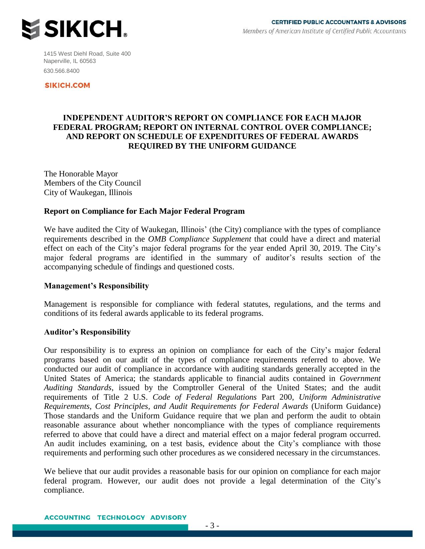

1415 West Diehl Road, Suite 400 Naperville, IL 60563 630.566.8400

**SIKICH.COM** 

#### **INDEPENDENT AUDITOR'S REPORT ON COMPLIANCE FOR EACH MAJOR FEDERAL PROGRAM; REPORT ON INTERNAL CONTROL OVER COMPLIANCE; AND REPORT ON SCHEDULE OF EXPENDITURES OF FEDERAL AWARDS REQUIRED BY THE UNIFORM GUIDANCE**

The Honorable Mayor Members of the City Council City of Waukegan, Illinois

#### **Report on Compliance for Each Major Federal Program**

We have audited the City of Waukegan, Illinois' (the City) compliance with the types of compliance requirements described in the *OMB Compliance Supplement* that could have a direct and material effect on each of the City's major federal programs for the year ended April 30, 2019. The City's major federal programs are identified in the summary of auditor's results section of the accompanying schedule of findings and questioned costs.

#### **Management's Responsibility**

Management is responsible for compliance with federal statutes, regulations, and the terms and conditions of its federal awards applicable to its federal programs.

#### **Auditor's Responsibility**

Our responsibility is to express an opinion on compliance for each of the City's major federal programs based on our audit of the types of compliance requirements referred to above. We conducted our audit of compliance in accordance with auditing standards generally accepted in the United States of America; the standards applicable to financial audits contained in *Government Auditing Standards*, issued by the Comptroller General of the United States; and the audit requirements of Title 2 U.S. *Code of Federal Regulations* Part 200, *Uniform Administrative Requirements, Cost Principles, and Audit Requirements for Federal Awards* (Uniform Guidance) Those standards and the Uniform Guidance require that we plan and perform the audit to obtain reasonable assurance about whether noncompliance with the types of compliance requirements referred to above that could have a direct and material effect on a major federal program occurred. An audit includes examining, on a test basis, evidence about the City's compliance with those requirements and performing such other procedures as we considered necessary in the circumstances.

We believe that our audit provides a reasonable basis for our opinion on compliance for each major federal program. However, our audit does not provide a legal determination of the City's compliance.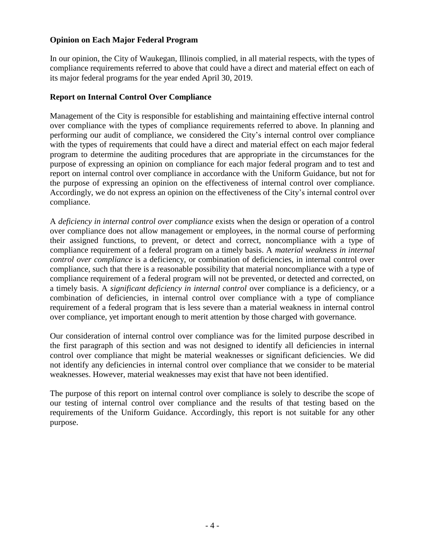# **Opinion on Each Major Federal Program**

In our opinion, the City of Waukegan, Illinois complied, in all material respects, with the types of compliance requirements referred to above that could have a direct and material effect on each of its major federal programs for the year ended April 30, 2019.

#### **Report on Internal Control Over Compliance**

Management of the City is responsible for establishing and maintaining effective internal control over compliance with the types of compliance requirements referred to above. In planning and performing our audit of compliance, we considered the City's internal control over compliance with the types of requirements that could have a direct and material effect on each major federal program to determine the auditing procedures that are appropriate in the circumstances for the purpose of expressing an opinion on compliance for each major federal program and to test and report on internal control over compliance in accordance with the Uniform Guidance, but not for the purpose of expressing an opinion on the effectiveness of internal control over compliance. Accordingly, we do not express an opinion on the effectiveness of the City's internal control over compliance.

A *deficiency in internal control over compliance* exists when the design or operation of a control over compliance does not allow management or employees, in the normal course of performing their assigned functions, to prevent, or detect and correct, noncompliance with a type of compliance requirement of a federal program on a timely basis. A *material weakness in internal control over compliance* is a deficiency, or combination of deficiencies, in internal control over compliance, such that there is a reasonable possibility that material noncompliance with a type of compliance requirement of a federal program will not be prevented, or detected and corrected, on a timely basis. A *significant deficiency in internal control* over compliance is a deficiency, or a combination of deficiencies, in internal control over compliance with a type of compliance requirement of a federal program that is less severe than a material weakness in internal control over compliance, yet important enough to merit attention by those charged with governance.

Our consideration of internal control over compliance was for the limited purpose described in the first paragraph of this section and was not designed to identify all deficiencies in internal control over compliance that might be material weaknesses or significant deficiencies. We did not identify any deficiencies in internal control over compliance that we consider to be material weaknesses. However, material weaknesses may exist that have not been identified.

The purpose of this report on internal control over compliance is solely to describe the scope of our testing of internal control over compliance and the results of that testing based on the requirements of the Uniform Guidance. Accordingly, this report is not suitable for any other purpose.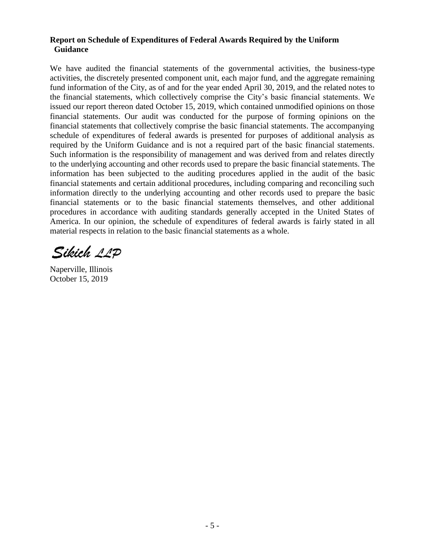### **Report on Schedule of Expenditures of Federal Awards Required by the Uniform Guidance**

We have audited the financial statements of the governmental activities, the business-type activities, the discretely presented component unit, each major fund, and the aggregate remaining fund information of the City, as of and for the year ended April 30, 2019, and the related notes to the financial statements, which collectively comprise the City's basic financial statements. We issued our report thereon dated October 15, 2019, which contained unmodified opinions on those financial statements. Our audit was conducted for the purpose of forming opinions on the financial statements that collectively comprise the basic financial statements. The accompanying schedule of expenditures of federal awards is presented for purposes of additional analysis as required by the Uniform Guidance and is not a required part of the basic financial statements. Such information is the responsibility of management and was derived from and relates directly to the underlying accounting and other records used to prepare the basic financial statements. The information has been subjected to the auditing procedures applied in the audit of the basic financial statements and certain additional procedures, including comparing and reconciling such information directly to the underlying accounting and other records used to prepare the basic financial statements or to the basic financial statements themselves, and other additional procedures in accordance with auditing standards generally accepted in the United States of America. In our opinion, the schedule of expenditures of federal awards is fairly stated in all material respects in relation to the basic financial statements as a whole.

Sikich 11P

Naperville, Illinois October 15, 2019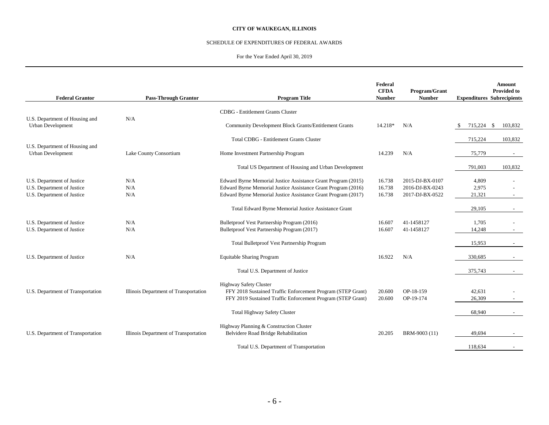#### SCHEDULE OF EXPENDITURES OF FEDERAL AWARDS

#### For the Year Ended April 30, 2019

| <b>Federal Grantor</b>                                                                 | <b>Pass-Through Grantor</b>           | <b>Program Title</b>                                                                                                                                                                               | Federal<br><b>CFDA</b><br><b>Number</b> | Program/Grant<br><b>Number</b>                        |                            | Amount<br><b>Provided to</b><br><b>Expenditures Subrecipients</b> |
|----------------------------------------------------------------------------------------|---------------------------------------|----------------------------------------------------------------------------------------------------------------------------------------------------------------------------------------------------|-----------------------------------------|-------------------------------------------------------|----------------------------|-------------------------------------------------------------------|
|                                                                                        |                                       | <b>CDBG</b> - Entitlement Grants Cluster                                                                                                                                                           |                                         |                                                       |                            |                                                                   |
| U.S. Department of Housing and<br><b>Urban Development</b>                             | N/A                                   | <b>Community Development Block Grants/Entitlement Grants</b>                                                                                                                                       | 14.218*                                 | N/A                                                   | 715,224<br>S.              | -S<br>103,832                                                     |
|                                                                                        |                                       | <b>Total CDBG - Entitlement Grants Cluster</b>                                                                                                                                                     |                                         |                                                       | 715,224                    | 103,832                                                           |
| U.S. Department of Housing and<br><b>Urban Development</b>                             | Lake County Consortium                | Home Investment Partnership Program                                                                                                                                                                | 14.239                                  | N/A                                                   | 75,779                     |                                                                   |
|                                                                                        |                                       | Total US Department of Housing and Urban Development                                                                                                                                               |                                         |                                                       | 791,003                    | 103,832                                                           |
| U.S. Department of Justice<br>U.S. Department of Justice<br>U.S. Department of Justice | N/A<br>N/A<br>N/A                     | Edward Byrne Memorial Justice Assistance Grant Program (2015)<br>Edward Byrne Memorial Justice Assistance Grant Program (2016)<br>Edward Byrne Memorial Justice Assistance Grant Program (2017)    | 16.738<br>16.738<br>16.738              | 2015-DJ-BX-0107<br>2016-DJ-BX-0243<br>2017-DJ-BX-0522 | 4,809<br>2,975<br>21,321   |                                                                   |
|                                                                                        |                                       | Total Edward Byrne Memorial Justice Assistance Grant                                                                                                                                               |                                         |                                                       | 29,105                     |                                                                   |
| U.S. Department of Justice<br>U.S. Department of Justice                               | N/A<br>N/A                            | Bulletproof Vest Partnership Program (2016)<br>Bulletproof Vest Partnership Program (2017)                                                                                                         | 16.607<br>16.607                        | 41-1458127<br>41-1458127                              | 1,705<br>14.248            |                                                                   |
|                                                                                        |                                       | Total Bulletproof Vest Partnership Program                                                                                                                                                         |                                         |                                                       | 15,953                     |                                                                   |
| U.S. Department of Justice                                                             | N/A                                   | <b>Equitable Sharing Program</b>                                                                                                                                                                   | 16.922                                  | N/A                                                   | 330,685                    | $\sim$                                                            |
|                                                                                        |                                       | Total U.S. Department of Justice                                                                                                                                                                   |                                         |                                                       | 375,743                    |                                                                   |
| U.S. Department of Transportation                                                      | Illinois Department of Transportation | <b>Highway Safety Cluster</b><br>FFY 2018 Sustained Traffic Enforcement Program (STEP Grant)<br>FFY 2019 Sustained Traffic Enforcement Program (STEP Grant)<br><b>Total Highway Safety Cluster</b> | 20.600<br>20.600                        | OP-18-159<br>OP-19-174                                | 42,631<br>26.309<br>68,940 | $\overline{a}$                                                    |
|                                                                                        |                                       | Highway Planning & Construction Cluster                                                                                                                                                            |                                         |                                                       |                            |                                                                   |
| U.S. Department of Transportation                                                      | Illinois Department of Transportation | Belvidere Road Bridge Rehabilitation                                                                                                                                                               | 20.205                                  | BRM-9003 (11)                                         | 49,694                     |                                                                   |
|                                                                                        |                                       | Total U.S. Department of Transportation                                                                                                                                                            |                                         |                                                       | 118.634                    |                                                                   |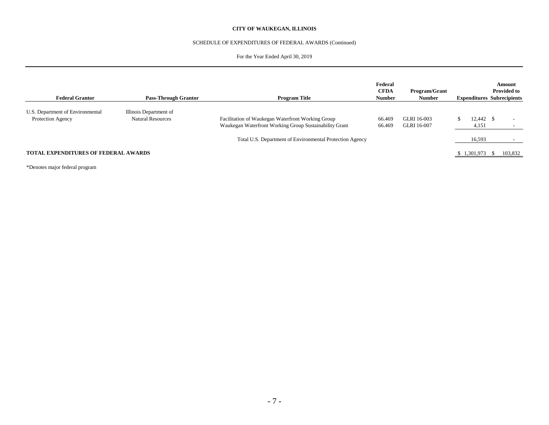#### SCHEDULE OF EXPENDITURES OF FEDERAL AWARDS (Continued)

#### For the Year Ended April 30, 2019

| <b>Federal Grantor</b>                                | <b>Pass-Through Grantor</b>                        | <b>Program Title</b>                                                                                        | Federal<br><b>CFDA</b><br><b>Number</b> | <b>Program/Grant</b><br><b>Number</b> |           |                            | Amount<br><b>Provided to</b><br><b>Expenditures Subrecipients</b> |
|-------------------------------------------------------|----------------------------------------------------|-------------------------------------------------------------------------------------------------------------|-----------------------------------------|---------------------------------------|-----------|----------------------------|-------------------------------------------------------------------|
| U.S. Department of Environmental<br>Protection Agency | Illinois Department of<br><b>Natural Resources</b> | Facilitation of Waukegan Waterfront Working Group<br>Waukegan Waterfront Working Group Sustainability Grant | 66.469<br>66.469                        | GLRI 16-003<br>GLRI 16-007            |           | $12.442 \quad$ \$<br>4,151 |                                                                   |
|                                                       |                                                    | Total U.S. Department of Environmental Protection Agency                                                    |                                         |                                       |           | 16,593                     |                                                                   |
| <b>TOTAL EXPENDITURES OF FEDERAL AWARDS</b>           |                                                    |                                                                                                             |                                         |                                       | 1,301,973 |                            | 103.832                                                           |

\*Denotes major federal program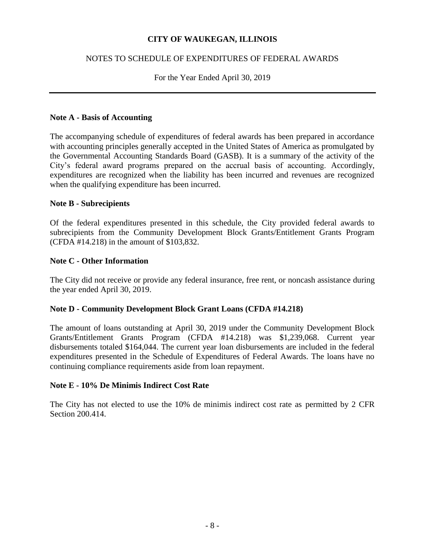### NOTES TO SCHEDULE OF EXPENDITURES OF FEDERAL AWARDS

For the Year Ended April 30, 2019

#### **Note A - Basis of Accounting**

The accompanying schedule of expenditures of federal awards has been prepared in accordance with accounting principles generally accepted in the United States of America as promulgated by the Governmental Accounting Standards Board (GASB). It is a summary of the activity of the City's federal award programs prepared on the accrual basis of accounting. Accordingly, expenditures are recognized when the liability has been incurred and revenues are recognized when the qualifying expenditure has been incurred.

#### **Note B - Subrecipients**

Of the federal expenditures presented in this schedule, the City provided federal awards to subrecipients from the Community Development Block Grants/Entitlement Grants Program (CFDA #14.218) in the amount of \$103,832.

#### **Note C - Other Information**

The City did not receive or provide any federal insurance, free rent, or noncash assistance during the year ended April 30, 2019.

#### **Note D - Community Development Block Grant Loans (CFDA #14.218)**

The amount of loans outstanding at April 30, 2019 under the Community Development Block Grants/Entitlement Grants Program (CFDA #14.218) was \$1,239,068. Current year disbursements totaled \$164,044. The current year loan disbursements are included in the federal expenditures presented in the Schedule of Expenditures of Federal Awards. The loans have no continuing compliance requirements aside from loan repayment.

#### **Note E - 10% De Minimis Indirect Cost Rate**

The City has not elected to use the 10% de minimis indirect cost rate as permitted by 2 CFR Section 200.414.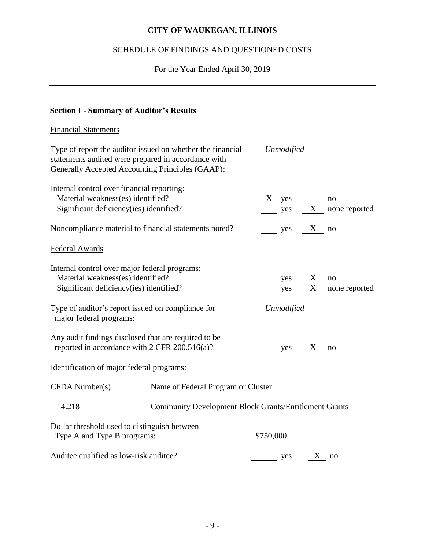# SCHEDULE OF FINDINGS AND QUESTIONED COSTS

# For the Year Ended April 30, 2019

# **Section I - Summary of Auditor's Results**

# Financial Statements

| statements audited were prepared in accordance with<br>Generally Accepted Accounting Principles (GAAP):                       | Type of report the auditor issued on whether the financial   | <b>Unmodified</b>                                             |    |
|-------------------------------------------------------------------------------------------------------------------------------|--------------------------------------------------------------|---------------------------------------------------------------|----|
| Internal control over financial reporting:<br>Material weakness(es) identified?<br>Significant deficiency(ies) identified?    |                                                              | $\frac{1}{2}$ yes $\frac{X}{X}$ none reported                 | no |
| Noncompliance material to financial statements noted?                                                                         |                                                              | $\frac{\ }{1}$ yes X                                          | no |
| <b>Federal Awards</b>                                                                                                         |                                                              |                                                               |    |
| Internal control over major federal programs:<br>Material weakness(es) identified?<br>Significant deficiency(ies) identified? |                                                              | $\frac{y \text{es}}{y \text{es}}$ $\frac{X}{X}$ none reported |    |
| Type of auditor's report issued on compliance for<br>major federal programs:                                                  |                                                              | Unmodified                                                    |    |
| Any audit findings disclosed that are required to be<br>reported in accordance with 2 CFR 200.516(a)?                         |                                                              | yes X                                                         | no |
| Identification of major federal programs:                                                                                     |                                                              |                                                               |    |
| $CFDA$ Number(s)                                                                                                              | Name of Federal Program or Cluster                           |                                                               |    |
| 14.218                                                                                                                        | <b>Community Development Block Grants/Entitlement Grants</b> |                                                               |    |
| Dollar threshold used to distinguish between<br>Type A and Type B programs:                                                   |                                                              | \$750,000                                                     |    |
| Auditee qualified as low-risk auditee?                                                                                        |                                                              | yes X                                                         | no |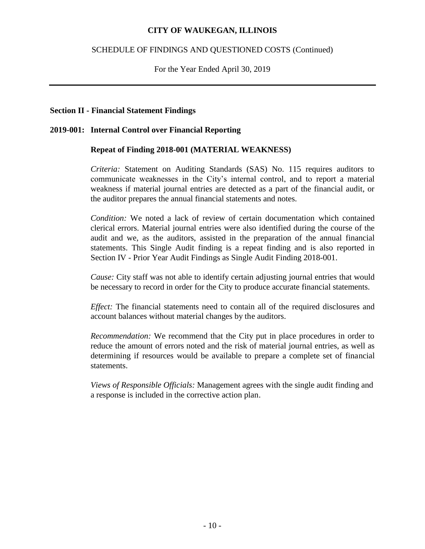### SCHEDULE OF FINDINGS AND QUESTIONED COSTS (Continued)

### For the Year Ended April 30, 2019

#### **Section II - Financial Statement Findings**

#### **2019-001: Internal Control over Financial Reporting**

#### **Repeat of Finding 2018-001 (MATERIAL WEAKNESS)**

*Criteria:* Statement on Auditing Standards (SAS) No. 115 requires auditors to communicate weaknesses in the City's internal control, and to report a material weakness if material journal entries are detected as a part of the financial audit, or the auditor prepares the annual financial statements and notes.

*Condition:* We noted a lack of review of certain documentation which contained clerical errors. Material journal entries were also identified during the course of the audit and we, as the auditors, assisted in the preparation of the annual financial statements. This Single Audit finding is a repeat finding and is also reported in Section IV - Prior Year Audit Findings as Single Audit Finding 2018-001.

*Cause:* City staff was not able to identify certain adjusting journal entries that would be necessary to record in order for the City to produce accurate financial statements.

*Effect:* The financial statements need to contain all of the required disclosures and account balances without material changes by the auditors.

*Recommendation:* We recommend that the City put in place procedures in order to reduce the amount of errors noted and the risk of material journal entries, as well as determining if resources would be available to prepare a complete set of financial statements.

*Views of Responsible Officials:* Management agrees with the single audit finding and a response is included in the corrective action plan.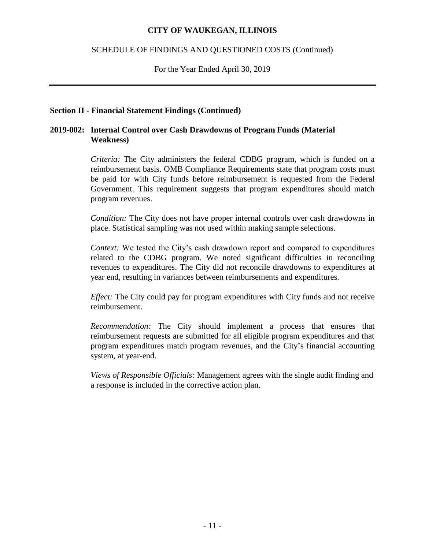#### SCHEDULE OF FINDINGS AND QUESTIONED COSTS (Continued)

#### For the Year Ended April 30, 2019

#### **Section II - Financial Statement Findings (Continued)**

### **2019-002: Internal Control over Cash Drawdowns of Program Funds (Material Weakness)**

*Criteria:* The City administers the federal CDBG program, which is funded on a reimbursement basis. OMB Compliance Requirements state that program costs must be paid for with City funds before reimbursement is requested from the Federal Government. This requirement suggests that program expenditures should match program revenues.

*Condition:* The City does not have proper internal controls over cash drawdowns in place. Statistical sampling was not used within making sample selections.

*Context:* We tested the City's cash drawdown report and compared to expenditures related to the CDBG program. We noted significant difficulties in reconciling revenues to expenditures. The City did not reconcile drawdowns to expenditures at year end, resulting in variances between reimbursements and expenditures.

*Effect:* The City could pay for program expenditures with City funds and not receive reimbursement.

*Recommendation:* The City should implement a process that ensures that reimbursement requests are submitted for all eligible program expenditures and that program expenditures match program revenues, and the City's financial accounting system, at year-end.

*Views of Responsible Officials:* Management agrees with the single audit finding and a response is included in the corrective action plan.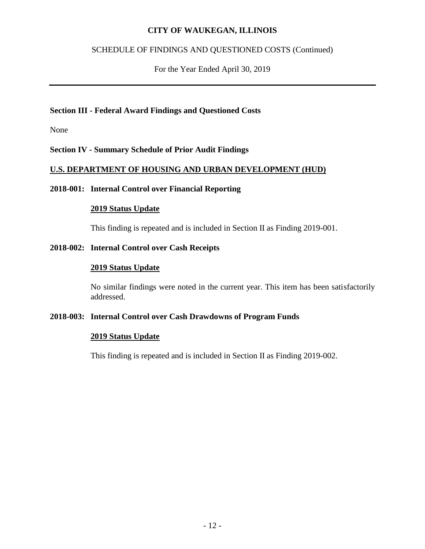### SCHEDULE OF FINDINGS AND QUESTIONED COSTS (Continued)

### For the Year Ended April 30, 2019

#### **Section III - Federal Award Findings and Questioned Costs**

None

#### **Section IV - Summary Schedule of Prior Audit Findings**

#### **U.S. DEPARTMENT OF HOUSING AND URBAN DEVELOPMENT (HUD)**

#### **2018-001: Internal Control over Financial Reporting**

#### **2019 Status Update**

This finding is repeated and is included in Section II as Finding 2019-001.

#### **2018-002: Internal Control over Cash Receipts**

#### **2019 Status Update**

No similar findings were noted in the current year. This item has been satisfactorily addressed.

#### **2018-003: Internal Control over Cash Drawdowns of Program Funds**

#### **2019 Status Update**

This finding is repeated and is included in Section II as Finding 2019-002.